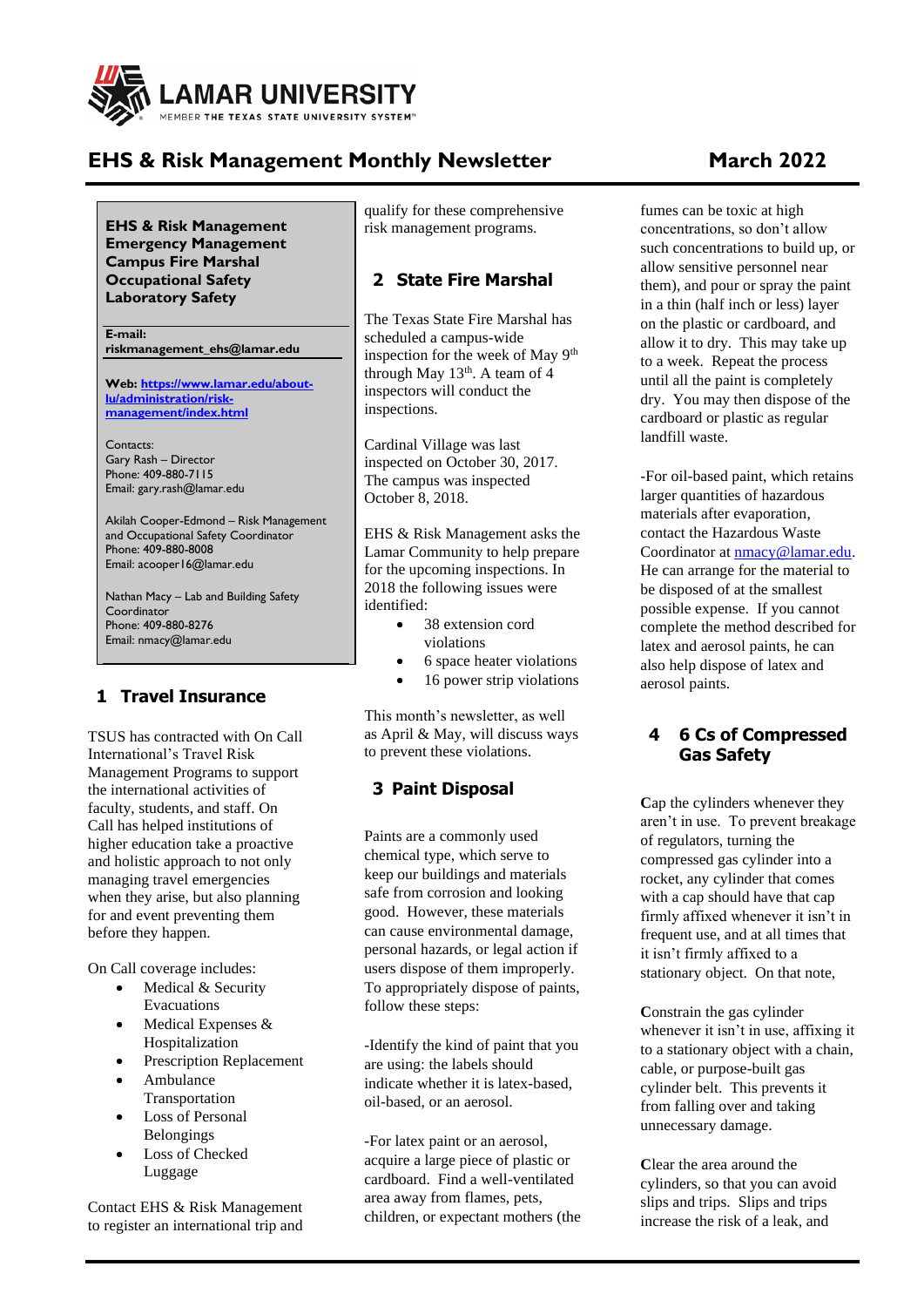

# **EHS & Risk Management Monthly Newsletter March 2022**

**EHS & Risk Management Emergency Management Campus Fire Marshal Occupational Safety Laboratory Safety**

**E-mail: riskmanagement\_ehs@lamar.edu**

**Web[: https://www.lamar.edu/about](https://www.lamar.edu/about-lu/administration/risk-management/index.html)[lu/administration/risk](https://www.lamar.edu/about-lu/administration/risk-management/index.html)[management/index.html](https://www.lamar.edu/about-lu/administration/risk-management/index.html)**

Contacts: Gary Rash – Director Phone: 409-880-7115 Email: gary.rash@lamar.edu

Akilah Cooper-Edmond – Risk Management and Occupational Safety Coordinator Phone: 409-880-8008 Email: acooper16@lamar.edu

Nathan Macy – Lab and Building Safety Coordinator Phone: 409-880-8276 Email: nmacy@lamar.edu

# **1 Travel Insurance**

TSUS has contracted with On Call International's Travel Risk Management Programs to support the international activities of faculty, students, and staff. On Call has helped institutions of higher education take a proactive and holistic approach to not only managing travel emergencies when they arise, but also planning for and event preventing them before they happen.

On Call coverage includes:

- Medical & Security Evacuations
- Medical Expenses & Hospitalization
- Prescription Replacement
- Ambulance Transportation
- Loss of Personal Belongings
- Loss of Checked Luggage

Contact EHS & Risk Management to register an international trip and

qualify for these comprehensive risk management programs.

#### **2 State Fire Marshal**

The Texas State Fire Marshal has scheduled a campus-wide inspection for the week of May 9<sup>th</sup> through May  $13<sup>th</sup>$ . A team of 4 inspectors will conduct the inspections.

Cardinal Village was last inspected on October 30, 2017. The campus was inspected October 8, 2018.

EHS & Risk Management asks the Lamar Community to help prepare for the upcoming inspections. In 2018 the following issues were identified:

- 38 extension cord violations
- 6 space heater violations
- 16 power strip violations

This month's newsletter, as well as April & May, will discuss ways to prevent these violations.

# **3 Paint Disposal**

Paints are a commonly used chemical type, which serve to keep our buildings and materials safe from corrosion and looking good. However, these materials can cause environmental damage, personal hazards, or legal action if users dispose of them improperly. To appropriately dispose of paints, follow these steps:

-Identify the kind of paint that you are using: the labels should indicate whether it is latex-based, oil-based, or an aerosol.

-For latex paint or an aerosol, acquire a large piece of plastic or cardboard. Find a well-ventilated area away from flames, pets, children, or expectant mothers (the

fumes can be toxic at high concentrations, so don't allow such concentrations to build up, or allow sensitive personnel near them), and pour or spray the paint in a thin (half inch or less) layer on the plastic or cardboard, and allow it to dry. This may take up to a week. Repeat the process until all the paint is completely dry. You may then dispose of the cardboard or plastic as regular landfill waste.

-For oil-based paint, which retains larger quantities of hazardous materials after evaporation, contact the Hazardous Waste Coordinator at [nmacy@lamar.edu.](mailto:nmacy@lamar.edu) He can arrange for the material to be disposed of at the smallest possible expense. If you cannot complete the method described for latex and aerosol paints, he can also help dispose of latex and aerosol paints.

#### **4 6 Cs of Compressed Gas Safety**

**C**ap the cylinders whenever they aren't in use. To prevent breakage of regulators, turning the compressed gas cylinder into a rocket, any cylinder that comes with a cap should have that cap firmly affixed whenever it isn't in frequent use, and at all times that it isn't firmly affixed to a stationary object. On that note,

**C**onstrain the gas cylinder whenever it isn't in use, affixing it to a stationary object with a chain, cable, or purpose-built gas cylinder belt. This prevents it from falling over and taking unnecessary damage.

**C**lear the area around the cylinders, so that you can avoid slips and trips. Slips and trips increase the risk of a leak, and